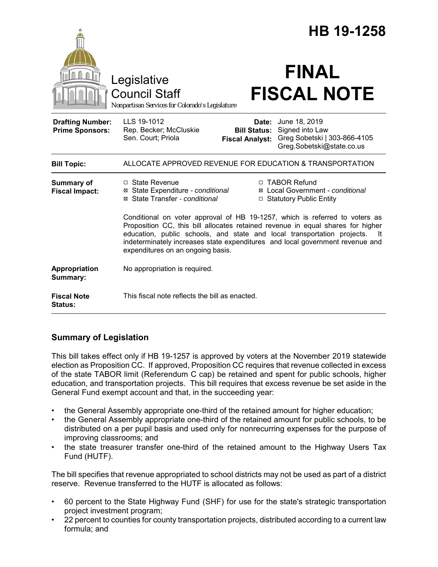|                                                   |                                                                                                                                                                                                                                                                                                                                                                         | HB 19-1258                                                                                    |
|---------------------------------------------------|-------------------------------------------------------------------------------------------------------------------------------------------------------------------------------------------------------------------------------------------------------------------------------------------------------------------------------------------------------------------------|-----------------------------------------------------------------------------------------------|
|                                                   | Legislative<br><b>Council Staff</b><br>Nonpartisan Services for Colorado's Legislature                                                                                                                                                                                                                                                                                  | <b>FINAL</b><br><b>FISCAL NOTE</b>                                                            |
| <b>Drafting Number:</b><br><b>Prime Sponsors:</b> | LLS 19-1012<br>Date:<br>Rep. Becker; McCluskie<br><b>Bill Status:</b><br>Sen. Court; Priola<br><b>Fiscal Analyst:</b>                                                                                                                                                                                                                                                   | June 18, 2019<br>Signed into Law<br>Greg Sobetski   303-866-4105<br>Greg.Sobetski@state.co.us |
| <b>Bill Topic:</b>                                | ALLOCATE APPROVED REVENUE FOR EDUCATION & TRANSPORTATION                                                                                                                                                                                                                                                                                                                |                                                                                               |
| <b>Summary of</b><br><b>Fiscal Impact:</b>        | □ State Revenue<br>⊠ State Expenditure - conditional<br>⊠ State Transfer - conditional                                                                                                                                                                                                                                                                                  | □ TABOR Refund<br>⊠ Local Government - conditional<br>□ Statutory Public Entity               |
|                                                   | Conditional on voter approval of HB 19-1257, which is referred to voters as<br>Proposition CC, this bill allocates retained revenue in equal shares for higher<br>education, public schools, and state and local transportation projects.<br>- It<br>indeterminately increases state expenditures and local government revenue and<br>expenditures on an ongoing basis. |                                                                                               |
| Appropriation<br>Summary:                         | No appropriation is required.                                                                                                                                                                                                                                                                                                                                           |                                                                                               |
| <b>Fiscal Note</b><br><b>Status:</b>              | This fiscal note reflects the bill as enacted.                                                                                                                                                                                                                                                                                                                          |                                                                                               |

# **Summary of Legislation**

This bill takes effect only if HB 19-1257 is approved by voters at the November 2019 statewide election as Proposition CC. If approved, Proposition CC requires that revenue collected in excess of the state TABOR limit (Referendum C cap) be retained and spent for public schools, higher education, and transportation projects. This bill requires that excess revenue be set aside in the General Fund exempt account and that, in the succeeding year:

- the General Assembly appropriate one-third of the retained amount for higher education;
- the General Assembly appropriate one-third of the retained amount for public schools, to be distributed on a per pupil basis and used only for nonrecurring expenses for the purpose of improving classrooms; and
- the state treasurer transfer one-third of the retained amount to the Highway Users Tax Fund (HUTF).

The bill specifies that revenue appropriated to school districts may not be used as part of a district reserve. Revenue transferred to the HUTF is allocated as follows:

- 60 percent to the State Highway Fund (SHF) for use for the state's strategic transportation project investment program;
- 22 percent to counties for county transportation projects, distributed according to a current law formula; and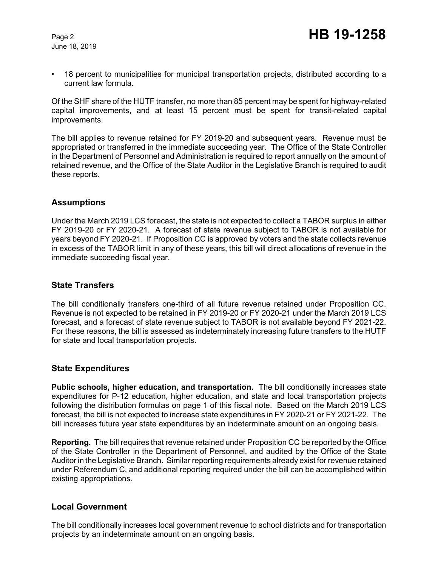June 18, 2019

• 18 percent to municipalities for municipal transportation projects, distributed according to a current law formula.

Of the SHF share of the HUTF transfer, no more than 85 percent may be spent for highway-related capital improvements, and at least 15 percent must be spent for transit-related capital improvements.

The bill applies to revenue retained for FY 2019-20 and subsequent years. Revenue must be appropriated or transferred in the immediate succeeding year. The Office of the State Controller in the Department of Personnel and Administration is required to report annually on the amount of retained revenue, and the Office of the State Auditor in the Legislative Branch is required to audit these reports.

### **Assumptions**

Under the March 2019 LCS forecast, the state is not expected to collect a TABOR surplus in either FY 2019-20 or FY 2020-21. A forecast of state revenue subject to TABOR is not available for years beyond FY 2020-21. If Proposition CC is approved by voters and the state collects revenue in excess of the TABOR limit in any of these years, this bill will direct allocations of revenue in the immediate succeeding fiscal year.

## **State Transfers**

The bill conditionally transfers one-third of all future revenue retained under Proposition CC. Revenue is not expected to be retained in FY 2019-20 or FY 2020-21 under the March 2019 LCS forecast, and a forecast of state revenue subject to TABOR is not available beyond FY 2021-22. For these reasons, the bill is assessed as indeterminately increasing future transfers to the HUTF for state and local transportation projects.

### **State Expenditures**

**Public schools, higher education, and transportation.** The bill conditionally increases state expenditures for P-12 education, higher education, and state and local transportation projects following the distribution formulas on page 1 of this fiscal note. Based on the March 2019 LCS forecast, the bill is not expected to increase state expenditures in FY 2020-21 or FY 2021-22. The bill increases future year state expenditures by an indeterminate amount on an ongoing basis.

**Reporting.** The bill requires that revenue retained under Proposition CC be reported by the Office of the State Controller in the Department of Personnel, and audited by the Office of the State Auditor in the Legislative Branch. Similar reporting requirements already exist for revenue retained under Referendum C, and additional reporting required under the bill can be accomplished within existing appropriations.

### **Local Government**

The bill conditionally increases local government revenue to school districts and for transportation projects by an indeterminate amount on an ongoing basis.